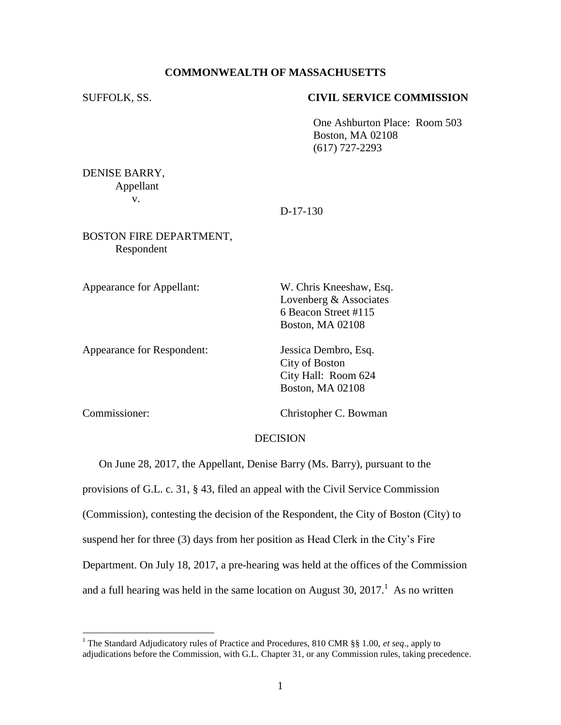## **COMMONWEALTH OF MASSACHUSETTS**

## SUFFOLK, SS. **CIVIL SERVICE COMMISSION**

One Ashburton Place: Room 503 Boston, MA 02108 (617) 727-2293

DENISE BARRY, Appellant v.

D-17-130

## BOSTON FIRE DEPARTMENT, Respondent

Appearance for Appellant: W. Chris Kneeshaw, Esq.

Lovenberg & Associates 6 Beacon Street #115 Boston, MA 02108

Appearance for Respondent: Jessica Dembro, Esq.

City of Boston City Hall: Room 624 Boston, MA 02108

 $\overline{a}$ 

Commissioner: Christopher C. Bowman

## DECISION

On June 28, 2017, the Appellant, Denise Barry (Ms. Barry), pursuant to the

provisions of G.L. c. 31, § 43, filed an appeal with the Civil Service Commission

(Commission), contesting the decision of the Respondent, the City of Boston (City) to

suspend her for three (3) days from her position as Head Clerk in the City's Fire

Department. On July 18, 2017, a pre-hearing was held at the offices of the Commission

and a full hearing was held in the same location on August 30,  $2017<sup>1</sup>$  As no written

<sup>1</sup> The Standard Adjudicatory rules of Practice and Procedures, 810 CMR §§ 1.00, *et seq*., apply to adjudications before the Commission, with G.L. Chapter 31, or any Commission rules, taking precedence.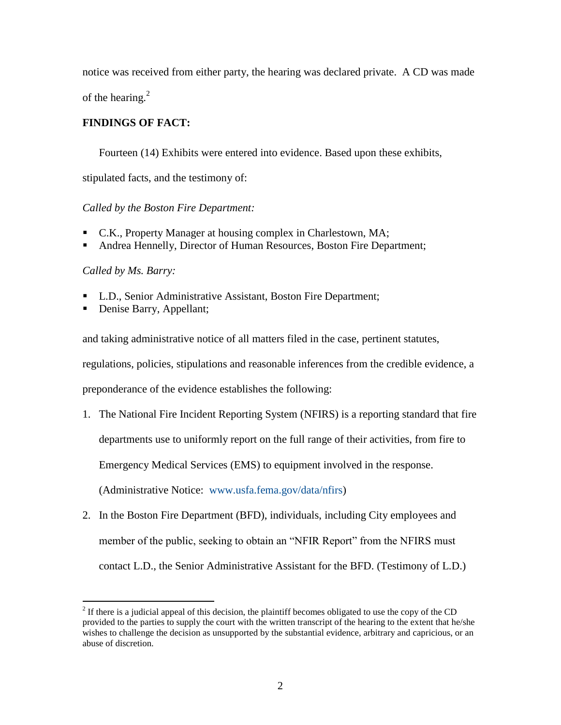notice was received from either party, the hearing was declared private. A CD was made of the hearing. $2$ 

# **FINDINGS OF FACT:**

Fourteen (14) Exhibits were entered into evidence. Based upon these exhibits,

stipulated facts, and the testimony of:

# *Called by the Boston Fire Department:*

- C.K., Property Manager at housing complex in Charlestown, MA;
- Andrea Hennelly, Director of Human Resources, Boston Fire Department;

## *Called by Ms. Barry:*

- **L.D., Senior Administrative Assistant, Boston Fire Department;**
- Denise Barry, Appellant;

and taking administrative notice of all matters filed in the case, pertinent statutes,

regulations, policies, stipulations and reasonable inferences from the credible evidence, a

preponderance of the evidence establishes the following:

- 1. The National Fire Incident Reporting System (NFIRS) is a reporting standard that fire departments use to uniformly report on the full range of their activities, from fire to Emergency Medical Services (EMS) to equipment involved in the response. (Administrative Notice: [www.usfa.fema.gov/data/nfirs\)](http://www.usfa.fema.gov/data/nfirs)
- 2. In the Boston Fire Department (BFD), individuals, including City employees and member of the public, seeking to obtain an "NFIR Report" from the NFIRS must contact L.D., the Senior Administrative Assistant for the BFD. (Testimony of L.D.)

<sup>&</sup>lt;sup>2</sup> If there is a judicial appeal of this decision, the plaintiff becomes obligated to use the copy of the CD provided to the parties to supply the court with the written transcript of the hearing to the extent that he/she wishes to challenge the decision as unsupported by the substantial evidence, arbitrary and capricious, or an abuse of discretion.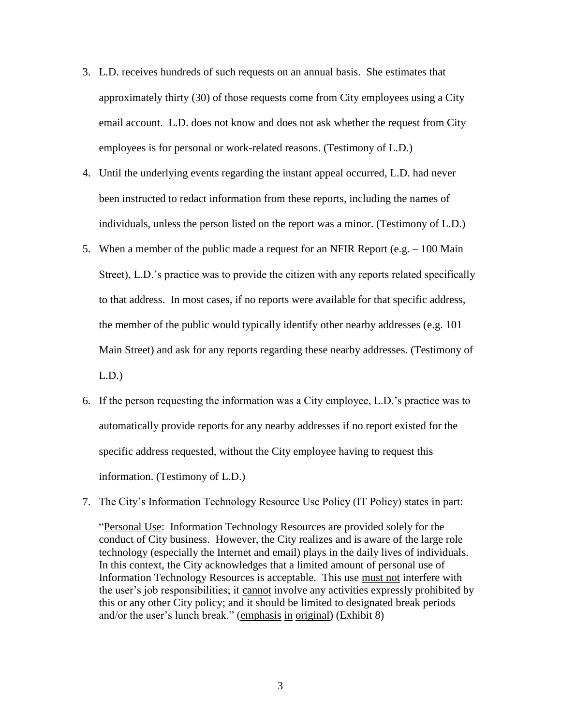- 3. L.D. receives hundreds of such requests on an annual basis. She estimates that approximately thirty (30) of those requests come from City employees using a City email account. L.D. does not know and does not ask whether the request from City employees is for personal or work-related reasons. (Testimony of L.D.)
- 4. Until the underlying events regarding the instant appeal occurred, L.D. had never been instructed to redact information from these reports, including the names of individuals, unless the person listed on the report was a minor. (Testimony of L.D.)
- 5. When a member of the public made a request for an NFIR Report (e.g. 100 Main Street), L.D.'s practice was to provide the citizen with any reports related specifically to that address. In most cases, if no reports were available for that specific address, the member of the public would typically identify other nearby addresses (e.g. 101 Main Street) and ask for any reports regarding these nearby addresses. (Testimony of L.D.)
- 6. If the person requesting the information was a City employee, L.D.'s practice was to automatically provide reports for any nearby addresses if no report existed for the specific address requested, without the City employee having to request this information. (Testimony of L.D.)
- 7. The City's Information Technology Resource Use Policy (IT Policy) states in part:

"Personal Use: Information Technology Resources are provided solely for the conduct of City business. However, the City realizes and is aware of the large role technology (especially the Internet and email) plays in the daily lives of individuals. In this context, the City acknowledges that a limited amount of personal use of Information Technology Resources is acceptable. This use must not interfere with the user's job responsibilities; it cannot involve any activities expressly prohibited by this or any other City policy; and it should be limited to designated break periods and/or the user's lunch break." (emphasis in original) (Exhibit 8)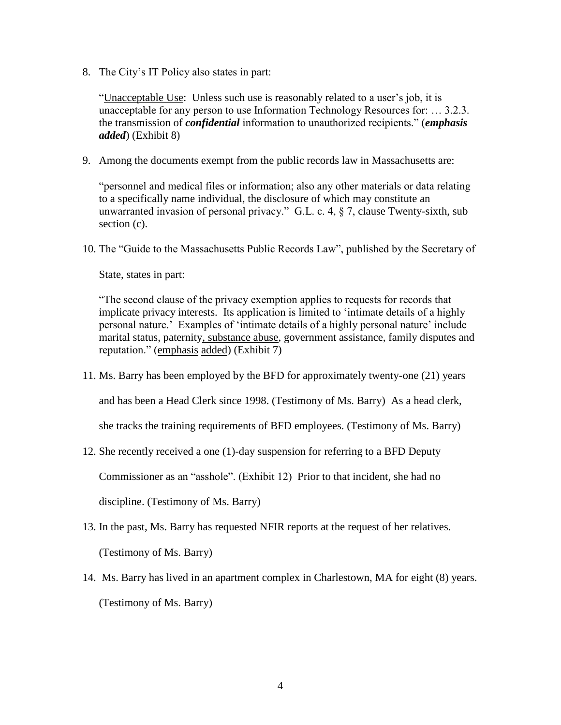8. The City's IT Policy also states in part:

"Unacceptable Use: Unless such use is reasonably related to a user's job, it is unacceptable for any person to use Information Technology Resources for: … 3.2.3. the transmission of *confidential* information to unauthorized recipients." (*emphasis added*) (Exhibit 8)

9. Among the documents exempt from the public records law in Massachusetts are:

"personnel and medical files or information; also any other materials or data relating to a specifically name individual, the disclosure of which may constitute an unwarranted invasion of personal privacy." G.L. c. 4, § 7, clause Twenty-sixth, sub section (c).

10. The "Guide to the Massachusetts Public Records Law", published by the Secretary of

State, states in part:

"The second clause of the privacy exemption applies to requests for records that implicate privacy interests. Its application is limited to 'intimate details of a highly personal nature.' Examples of 'intimate details of a highly personal nature' include marital status, paternity, substance abuse, government assistance, family disputes and reputation." (emphasis added) (Exhibit 7)

11. Ms. Barry has been employed by the BFD for approximately twenty-one (21) years

and has been a Head Clerk since 1998. (Testimony of Ms. Barry) As a head clerk,

she tracks the training requirements of BFD employees. (Testimony of Ms. Barry)

12. She recently received a one (1)-day suspension for referring to a BFD Deputy

Commissioner as an "asshole". (Exhibit 12) Prior to that incident, she had no

discipline. (Testimony of Ms. Barry)

13. In the past, Ms. Barry has requested NFIR reports at the request of her relatives.

(Testimony of Ms. Barry)

14. Ms. Barry has lived in an apartment complex in Charlestown, MA for eight (8) years. (Testimony of Ms. Barry)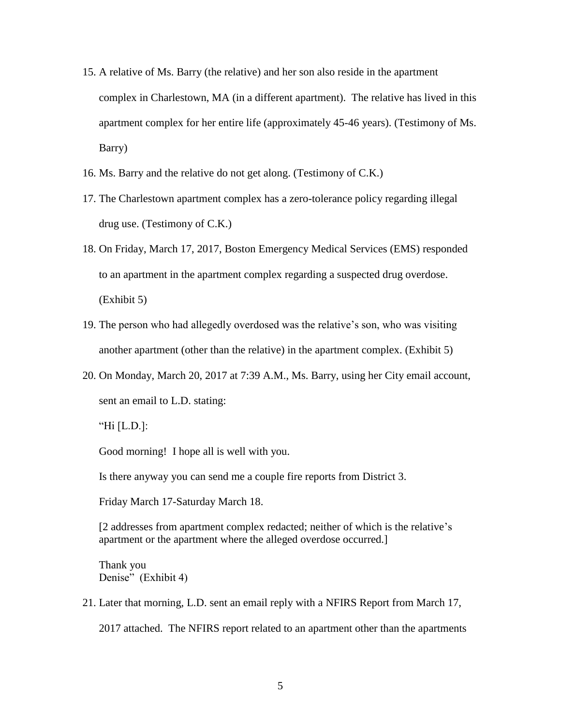- 15. A relative of Ms. Barry (the relative) and her son also reside in the apartment complex in Charlestown, MA (in a different apartment). The relative has lived in this apartment complex for her entire life (approximately 45-46 years). (Testimony of Ms. Barry)
- 16. Ms. Barry and the relative do not get along. (Testimony of C.K.)
- 17. The Charlestown apartment complex has a zero-tolerance policy regarding illegal drug use. (Testimony of C.K.)
- 18. On Friday, March 17, 2017, Boston Emergency Medical Services (EMS) responded to an apartment in the apartment complex regarding a suspected drug overdose. (Exhibit 5)
- 19. The person who had allegedly overdosed was the relative's son, who was visiting another apartment (other than the relative) in the apartment complex. (Exhibit 5)
- 20. On Monday, March 20, 2017 at 7:39 A.M., Ms. Barry, using her City email account, sent an email to L.D. stating:

Good morning! I hope all is well with you.

Is there anyway you can send me a couple fire reports from District 3.

Friday March 17-Saturday March 18.

[2 addresses from apartment complex redacted; neither of which is the relative's apartment or the apartment where the alleged overdose occurred.]

Thank you Denise" (Exhibit 4)

21. Later that morning, L.D. sent an email reply with a NFIRS Report from March 17, 2017 attached. The NFIRS report related to an apartment other than the apartments

<sup>&</sup>quot;Hi [L.D.]: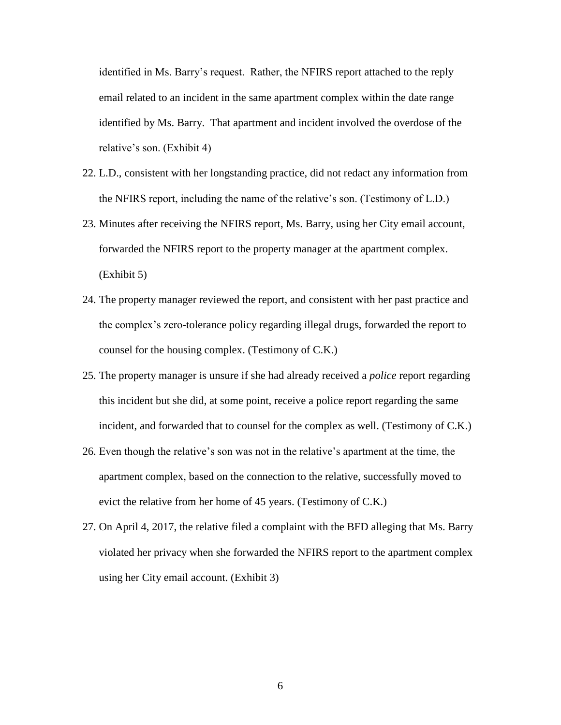identified in Ms. Barry's request. Rather, the NFIRS report attached to the reply email related to an incident in the same apartment complex within the date range identified by Ms. Barry. That apartment and incident involved the overdose of the relative's son. (Exhibit 4)

- 22. L.D., consistent with her longstanding practice, did not redact any information from the NFIRS report, including the name of the relative's son. (Testimony of L.D.)
- 23. Minutes after receiving the NFIRS report, Ms. Barry, using her City email account, forwarded the NFIRS report to the property manager at the apartment complex. (Exhibit 5)
- 24. The property manager reviewed the report, and consistent with her past practice and the complex's zero-tolerance policy regarding illegal drugs, forwarded the report to counsel for the housing complex. (Testimony of C.K.)
- 25. The property manager is unsure if she had already received a *police* report regarding this incident but she did, at some point, receive a police report regarding the same incident, and forwarded that to counsel for the complex as well. (Testimony of C.K.)
- 26. Even though the relative's son was not in the relative's apartment at the time, the apartment complex, based on the connection to the relative, successfully moved to evict the relative from her home of 45 years. (Testimony of C.K.)
- 27. On April 4, 2017, the relative filed a complaint with the BFD alleging that Ms. Barry violated her privacy when she forwarded the NFIRS report to the apartment complex using her City email account. (Exhibit 3)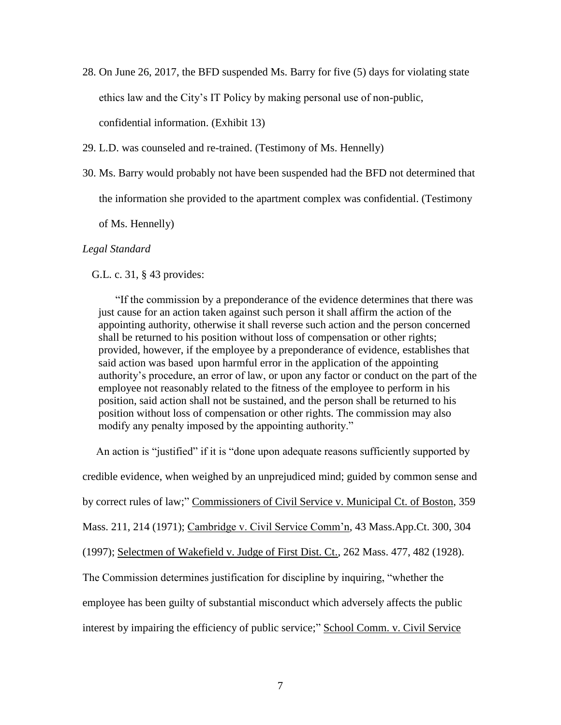- 28. On June 26, 2017, the BFD suspended Ms. Barry for five (5) days for violating state ethics law and the City's IT Policy by making personal use of non-public, confidential information. (Exhibit 13)
- 29. L.D. was counseled and re-trained. (Testimony of Ms. Hennelly)
- 30. Ms. Barry would probably not have been suspended had the BFD not determined that

the information she provided to the apartment complex was confidential. (Testimony

of Ms. Hennelly)

#### *Legal Standard*

G.L. c. 31, § 43 provides:

"If the commission by a preponderance of the evidence determines that there was just cause for an action taken against such person it shall affirm the action of the appointing authority, otherwise it shall reverse such action and the person concerned shall be returned to his position without loss of compensation or other rights; provided, however, if the employee by a preponderance of evidence, establishes that said action was based upon harmful error in the application of the appointing authority's procedure, an error of law, or upon any factor or conduct on the part of the employee not reasonably related to the fitness of the employee to perform in his position, said action shall not be sustained, and the person shall be returned to his position without loss of compensation or other rights. The commission may also modify any penalty imposed by the appointing authority."

 An action is "justified" if it is "done upon adequate reasons sufficiently supported by credible evidence, when weighed by an unprejudiced mind; guided by common sense and by correct rules of law;" Commissioners of Civil Service v. Municipal Ct. of Boston, 359 Mass. 211, 214 (1971); Cambridge v. Civil Service Comm'n, 43 Mass.App.Ct. 300, 304 (1997); Selectmen of Wakefield v. Judge of First Dist. Ct., 262 Mass. 477, 482 (1928). The Commission determines justification for discipline by inquiring, "whether the employee has been guilty of substantial misconduct which adversely affects the public interest by impairing the efficiency of public service;" School Comm. v. Civil Service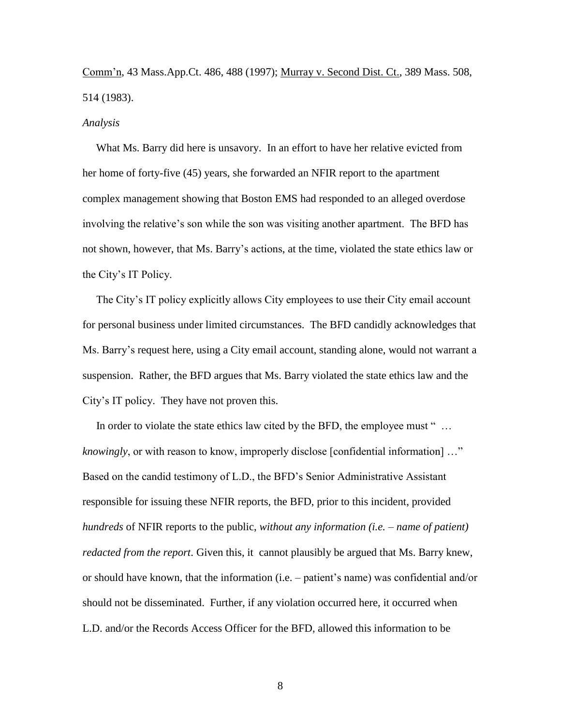Comm'n, 43 Mass.App.Ct. 486, 488 (1997); Murray v. Second Dist. Ct., 389 Mass. 508, 514 (1983).

#### *Analysis*

 What Ms. Barry did here is unsavory. In an effort to have her relative evicted from her home of forty-five (45) years, she forwarded an NFIR report to the apartment complex management showing that Boston EMS had responded to an alleged overdose involving the relative's son while the son was visiting another apartment. The BFD has not shown, however, that Ms. Barry's actions, at the time, violated the state ethics law or the City's IT Policy.

 The City's IT policy explicitly allows City employees to use their City email account for personal business under limited circumstances. The BFD candidly acknowledges that Ms. Barry's request here, using a City email account, standing alone, would not warrant a suspension. Rather, the BFD argues that Ms. Barry violated the state ethics law and the City's IT policy. They have not proven this.

In order to violate the state ethics law cited by the BFD, the employee must "... *knowingly*, or with reason to know, improperly disclose [confidential information] …" Based on the candid testimony of L.D., the BFD's Senior Administrative Assistant responsible for issuing these NFIR reports, the BFD, prior to this incident, provided *hundreds* of NFIR reports to the public, *without any information (i.e. – name of patient) redacted from the report*. Given this, it cannot plausibly be argued that Ms. Barry knew, or should have known, that the information (i.e. – patient's name) was confidential and/or should not be disseminated. Further, if any violation occurred here, it occurred when L.D. and/or the Records Access Officer for the BFD, allowed this information to be

8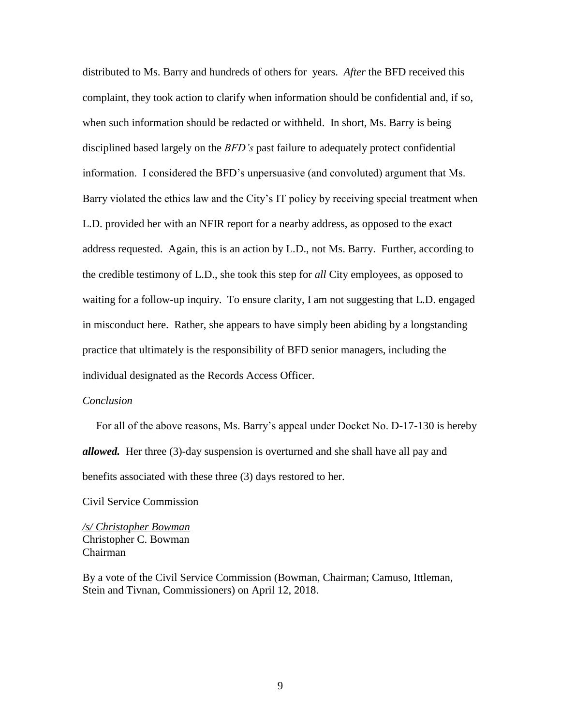distributed to Ms. Barry and hundreds of others for years. *After* the BFD received this complaint, they took action to clarify when information should be confidential and, if so, when such information should be redacted or withheld. In short, Ms. Barry is being disciplined based largely on the *BFD's* past failure to adequately protect confidential information. I considered the BFD's unpersuasive (and convoluted) argument that Ms. Barry violated the ethics law and the City's IT policy by receiving special treatment when L.D. provided her with an NFIR report for a nearby address, as opposed to the exact address requested. Again, this is an action by L.D., not Ms. Barry. Further, according to the credible testimony of L.D., she took this step for *all* City employees, as opposed to waiting for a follow-up inquiry. To ensure clarity, I am not suggesting that L.D. engaged in misconduct here. Rather, she appears to have simply been abiding by a longstanding practice that ultimately is the responsibility of BFD senior managers, including the individual designated as the Records Access Officer.

## *Conclusion*

 For all of the above reasons, Ms. Barry's appeal under Docket No. D-17-130 is hereby *allowed.* Her three (3)-day suspension is overturned and she shall have all pay and benefits associated with these three (3) days restored to her.

Civil Service Commission

*/s/ Christopher Bowman* Christopher C. Bowman Chairman

By a vote of the Civil Service Commission (Bowman, Chairman; Camuso, Ittleman, Stein and Tivnan, Commissioners) on April 12, 2018.